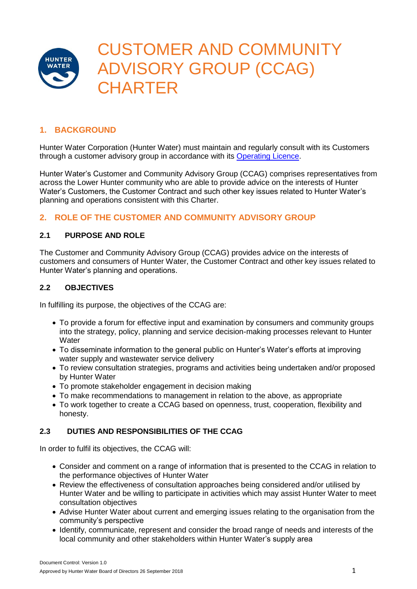

# **1. BACKGROUND**

Hunter Water Corporation (Hunter Water) must maintain and regularly consult with its Customers through a customer advisory group in accordance with its [Operating Licence.](https://www.hunterwater.com.au/About-Us/Our-Organisation/Governance/Operating-Licence.aspx)

Hunter Water's Customer and Community Advisory Group (CCAG) comprises representatives from across the Lower Hunter community who are able to provide advice on the interests of Hunter Water's Customers, the Customer Contract and such other key issues related to Hunter Water's planning and operations consistent with this Charter.

# **2. ROLE OF THE CUSTOMER AND COMMUNITY ADVISORY GROUP**

### **2.1 PURPOSE AND ROLE**

The Customer and Community Advisory Group (CCAG) provides advice on the interests of customers and consumers of Hunter Water, the Customer Contract and other key issues related to Hunter Water's planning and operations.

### **2.2 OBJECTIVES**

In fulfilling its purpose, the objectives of the CCAG are:

- To provide a forum for effective input and examination by consumers and community groups into the strategy, policy, planning and service decision-making processes relevant to Hunter **Water**
- To disseminate information to the general public on Hunter's Water's efforts at improving water supply and wastewater service delivery
- To review consultation strategies, programs and activities being undertaken and/or proposed by Hunter Water
- To promote stakeholder engagement in decision making
- To make recommendations to management in relation to the above, as appropriate
- To work together to create a CCAG based on openness, trust, cooperation, flexibility and honesty.

## **2.3 DUTIES AND RESPONSIBILITIES OF THE CCAG**

In order to fulfil its objectives, the CCAG will:

- Consider and comment on a range of information that is presented to the CCAG in relation to the performance objectives of Hunter Water
- Review the effectiveness of consultation approaches being considered and/or utilised by Hunter Water and be willing to participate in activities which may assist Hunter Water to meet consultation objectives
- Advise Hunter Water about current and emerging issues relating to the organisation from the community's perspective
- Identify, communicate, represent and consider the broad range of needs and interests of the local community and other stakeholders within Hunter Water's supply area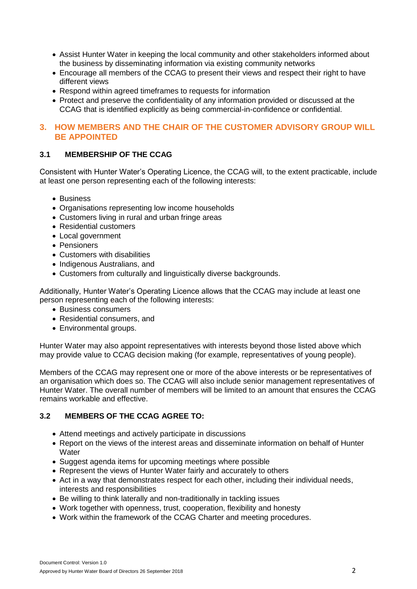- Assist Hunter Water in keeping the local community and other stakeholders informed about the business by disseminating information via existing community networks
- Encourage all members of the CCAG to present their views and respect their right to have different views
- Respond within agreed timeframes to requests for information
- Protect and preserve the confidentiality of any information provided or discussed at the CCAG that is identified explicitly as being commercial-in-confidence or confidential.

# **3. HOW MEMBERS AND THE CHAIR OF THE CUSTOMER ADVISORY GROUP WILL BE APPOINTED**

# **3.1 MEMBERSHIP OF THE CCAG**

Consistent with Hunter Water's Operating Licence, the CCAG will, to the extent practicable, include at least one person representing each of the following interests:

- Business
- Organisations representing low income households
- Customers living in rural and urban fringe areas
- Residential customers
- Local government
- Pensioners
- Customers with disabilities
- Indigenous Australians, and
- Customers from culturally and linguistically diverse backgrounds.

Additionally, Hunter Water's Operating Licence allows that the CCAG may include at least one person representing each of the following interests:

- Business consumers
- Residential consumers, and
- Environmental groups.

Hunter Water may also appoint representatives with interests beyond those listed above which may provide value to CCAG decision making (for example, representatives of young people).

Members of the CCAG may represent one or more of the above interests or be representatives of an organisation which does so. The CCAG will also include senior management representatives of Hunter Water. The overall number of members will be limited to an amount that ensures the CCAG remains workable and effective.

## **3.2 MEMBERS OF THE CCAG AGREE TO:**

- Attend meetings and actively participate in discussions
- Report on the views of the interest areas and disseminate information on behalf of Hunter **Water**
- Suggest agenda items for upcoming meetings where possible
- Represent the views of Hunter Water fairly and accurately to others
- Act in a way that demonstrates respect for each other, including their individual needs, interests and responsibilities
- Be willing to think laterally and non-traditionally in tackling issues
- Work together with openness, trust, cooperation, flexibility and honesty
- Work within the framework of the CCAG Charter and meeting procedures.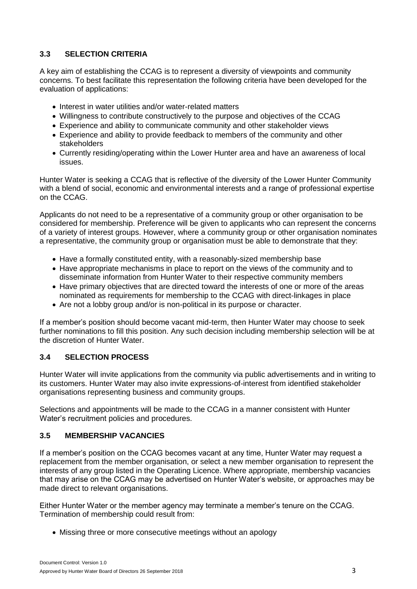## **3.3 SELECTION CRITERIA**

A key aim of establishing the CCAG is to represent a diversity of viewpoints and community concerns. To best facilitate this representation the following criteria have been developed for the evaluation of applications:

- Interest in water utilities and/or water-related matters
- Willingness to contribute constructively to the purpose and objectives of the CCAG
- Experience and ability to communicate community and other stakeholder views
- Experience and ability to provide feedback to members of the community and other stakeholders
- Currently residing/operating within the Lower Hunter area and have an awareness of local issues.

Hunter Water is seeking a CCAG that is reflective of the diversity of the Lower Hunter Community with a blend of social, economic and environmental interests and a range of professional expertise on the CCAG.

Applicants do not need to be a representative of a community group or other organisation to be considered for membership. Preference will be given to applicants who can represent the concerns of a variety of interest groups. However, where a community group or other organisation nominates a representative, the community group or organisation must be able to demonstrate that they:

- Have a formally constituted entity, with a reasonably-sized membership base
- Have appropriate mechanisms in place to report on the views of the community and to disseminate information from Hunter Water to their respective community members
- Have primary objectives that are directed toward the interests of one or more of the areas nominated as requirements for membership to the CCAG with direct-linkages in place
- Are not a lobby group and/or is non-political in its purpose or character.

If a member's position should become vacant mid-term, then Hunter Water may choose to seek further nominations to fill this position. Any such decision including membership selection will be at the discretion of Hunter Water.

## **3.4 SELECTION PROCESS**

Hunter Water will invite applications from the community via public advertisements and in writing to its customers. Hunter Water may also invite expressions-of-interest from identified stakeholder organisations representing business and community groups.

Selections and appointments will be made to the CCAG in a manner consistent with Hunter Water's recruitment policies and procedures.

## **3.5 MEMBERSHIP VACANCIES**

If a member's position on the CCAG becomes vacant at any time, Hunter Water may request a replacement from the member organisation, or select a new member organisation to represent the interests of any group listed in the Operating Licence. Where appropriate, membership vacancies that may arise on the CCAG may be advertised on Hunter Water's website, or approaches may be made direct to relevant organisations.

Either Hunter Water or the member agency may terminate a member's tenure on the CCAG. Termination of membership could result from:

• Missing three or more consecutive meetings without an apology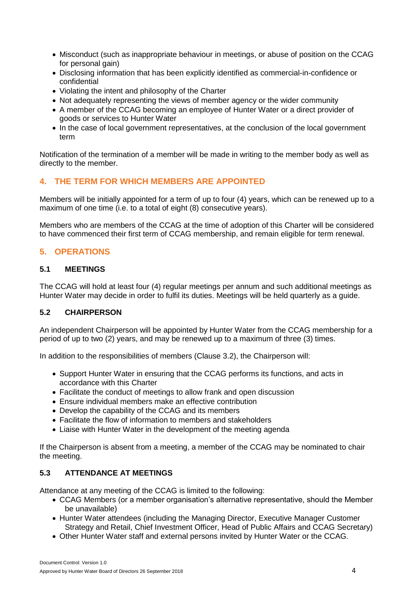- Misconduct (such as inappropriate behaviour in meetings, or abuse of position on the CCAG for personal gain)
- Disclosing information that has been explicitly identified as commercial-in-confidence or confidential
- Violating the intent and philosophy of the Charter
- Not adequately representing the views of member agency or the wider community
- A member of the CCAG becoming an employee of Hunter Water or a direct provider of goods or services to Hunter Water
- In the case of local government representatives, at the conclusion of the local government term

Notification of the termination of a member will be made in writing to the member body as well as directly to the member.

# **4. THE TERM FOR WHICH MEMBERS ARE APPOINTED**

Members will be initially appointed for a term of up to four (4) years, which can be renewed up to a maximum of one time (i.e. to a total of eight (8) consecutive years).

Members who are members of the CCAG at the time of adoption of this Charter will be considered to have commenced their first term of CCAG membership, and remain eligible for term renewal.

# **5. OPERATIONS**

### **5.1 MEETINGS**

The CCAG will hold at least four (4) regular meetings per annum and such additional meetings as Hunter Water may decide in order to fulfil its duties. Meetings will be held quarterly as a guide.

## **5.2 CHAIRPERSON**

An independent Chairperson will be appointed by Hunter Water from the CCAG membership for a period of up to two (2) years, and may be renewed up to a maximum of three (3) times.

In addition to the responsibilities of members (Clause 3.2), the Chairperson will:

- Support Hunter Water in ensuring that the CCAG performs its functions, and acts in accordance with this Charter
- Facilitate the conduct of meetings to allow frank and open discussion
- Ensure individual members make an effective contribution
- Develop the capability of the CCAG and its members
- Facilitate the flow of information to members and stakeholders
- Liaise with Hunter Water in the development of the meeting agenda

If the Chairperson is absent from a meeting, a member of the CCAG may be nominated to chair the meeting.

## **5.3 ATTENDANCE AT MEETINGS**

Attendance at any meeting of the CCAG is limited to the following:

- CCAG Members (or a member organisation's alternative representative, should the Member be unavailable)
- Hunter Water attendees (including the Managing Director, Executive Manager Customer Strategy and Retail, Chief Investment Officer, Head of Public Affairs and CCAG Secretary)
- Other Hunter Water staff and external persons invited by Hunter Water or the CCAG.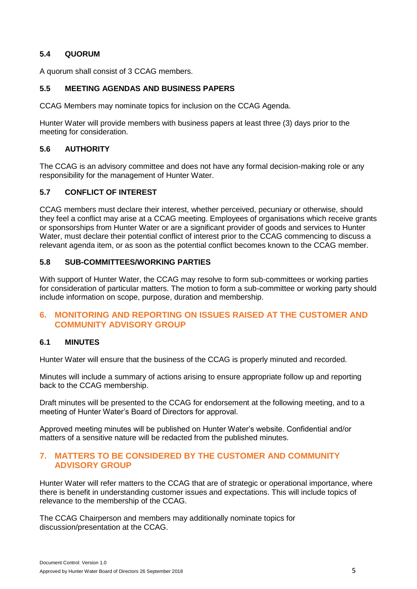## **5.4 QUORUM**

A quorum shall consist of 3 CCAG members.

### **5.5 MEETING AGENDAS AND BUSINESS PAPERS**

CCAG Members may nominate topics for inclusion on the CCAG Agenda.

Hunter Water will provide members with business papers at least three (3) days prior to the meeting for consideration.

### **5.6 AUTHORITY**

The CCAG is an advisory committee and does not have any formal decision-making role or any responsibility for the management of Hunter Water.

### **5.7 CONFLICT OF INTEREST**

CCAG members must declare their interest, whether perceived, pecuniary or otherwise, should they feel a conflict may arise at a CCAG meeting. Employees of organisations which receive grants or sponsorships from Hunter Water or are a significant provider of goods and services to Hunter Water, must declare their potential conflict of interest prior to the CCAG commencing to discuss a relevant agenda item, or as soon as the potential conflict becomes known to the CCAG member.

### **5.8 SUB-COMMITTEES/WORKING PARTIES**

With support of Hunter Water, the CCAG may resolve to form sub-committees or working parties for consideration of particular matters. The motion to form a sub-committee or working party should include information on scope, purpose, duration and membership.

## **6. MONITORING AND REPORTING ON ISSUES RAISED AT THE CUSTOMER AND COMMUNITY ADVISORY GROUP**

#### **6.1 MINUTES**

Hunter Water will ensure that the business of the CCAG is properly minuted and recorded.

Minutes will include a summary of actions arising to ensure appropriate follow up and reporting back to the CCAG membership.

Draft minutes will be presented to the CCAG for endorsement at the following meeting, and to a meeting of Hunter Water's Board of Directors for approval.

Approved meeting minutes will be published on Hunter Water's website. Confidential and/or matters of a sensitive nature will be redacted from the published minutes.

### **7. MATTERS TO BE CONSIDERED BY THE CUSTOMER AND COMMUNITY ADVISORY GROUP**

Hunter Water will refer matters to the CCAG that are of strategic or operational importance, where there is benefit in understanding customer issues and expectations. This will include topics of relevance to the membership of the CCAG.

The CCAG Chairperson and members may additionally nominate topics for discussion/presentation at the CCAG.